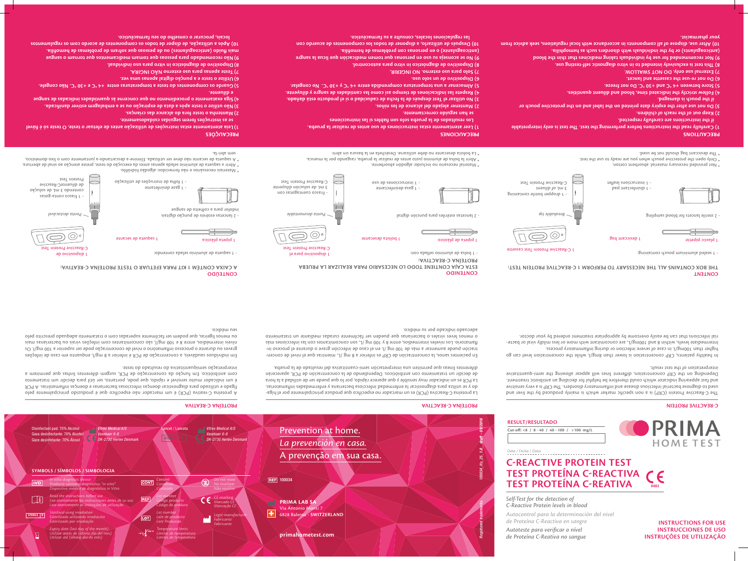# **INSTRUCTIONS FOR USE INSTRUCCIONES DE USO INSTRUÇÕES DE UTILIZAÇÃO**

The C-Reactive Protein (CRP) is a non specific marker which is mainly produced by the liver and used to diagnose bacterial infectious disease and inflammatory disorders. The CRP is a very sensitive and fast appearing indicator which could therefore be helpful for deciding an antibiotic treatment. Depending on the CRP concentration, different lines will appear allowing the semi-quantitative interpretation of the test result.

In healthy patients, CRP concentration is lower than 8mg/L while the concentration level can go higher than 100mg/L in case of severe infection or during inflammatory process. - Intermediate levels, within 8 and 100mg/L, are concomitant with more or less mildly viral or bacte rial infections that can be easily overcome by appropriate treatment ordered by your doctor.

# - La proteína C-Reactiva (PCR) es un marcador no específico que produce principalmente por el híga do y se utiliza para diagnosticar la enfermedad infecciosa bacteriana y enfermedades inflamatorias. La PCR es un indicador muy sensible y que aparece rápido, por lo que puede ser de utilidad a la hora de decidir un tratamiento con antibióticos. Dependiendo de la concentración de PCR, aparecerán diferentes líneas que permiten una interpretación semi-cuantitativa del resultado de la prueba.

- En pacientes sanos, la concentración de CRP es inferior a 8 mg /L, mientras que el nivel de concen - tración puede aumentar a más de 100 mg /L en el caso de infección grave o durante el proceso in flamatorio. Los niveles intermedios, entre 8 y 100 mg /L, son concomitantes con las infecciones más o menos leves virales o bacterianas que pueden ser fácilmente curadas mediante un tratamiento adecuado indicado por su médico.

### $\circledcirc$ 1 pipeta de plástico a poizied de secante 1 poizied plástica 1 pipeta plástica 1 pipeta plástica 1 poizied plástica C-Reactive Protein Test - 1 saqueta de alumínio selada contendo: - 1 bolsa de aluminio sellada con: 1 dispositivo de

- 1 gasa desinfectante as ap sauoiophitsui

A proteína C-reativa (PCR) é um marcador não específico que é produzido principalmente pelo fígado e utilizado para diagnosticar doenças infecciosas bacterianas e doenças inflamatórias. A PCR é um indicador muito sensível e rápido, que pode, portanto, ser útil para decidir um tratamento com antibiótico. Em função da concentração de PCR, surgem diferentes linhas que permitem a interpretação semiquantitativa do resultado do teste.

Em indivíduos saudáveis, a concentração de PCR é inferior a 8 mg/l, enquanto em caso de infeções graves ou durante o processo inflamatório o nível de concentração pode ser superior a 100 mg/l. Os níveis intermédios, entre 8 e 100 mg/l, são concomitantes com infeções virais ou bacterianas mais ou menos ligeiras, que podem ser facilmente superadas com o tratamento adequado prescrito pelo seu médico.

1 C-Reactive Protein Test cassette

**つ) (c)** 

\* Not provided necessary material: absorbent cotton.

 $^*$  Only open the protective pouch when you are ready to use the test. \* The desiccant bag should not be used.

**PRECAUTIONS** 

- 1 disinfectant pad - 1 instructions leaflet

1 desiccant bag

 $\mathcal{P}$  2 lanceta desmontable tipp are tipo desmontable tipp ancetas estériles para punción desmontable tipo desmontable tipo desmontable tipo desmontable tipo desmontable tipo desmontable tipo desmontable tipo desmontabl



- 1 sealed aluminium pouch containing:

1 plastic pipette

**6) Dispositivo de un solo usor 7) Solo para uso externo. NO INGERIR.**

# **CONTENT THE BOX CONTAINS ALL THE NECESSARY TO PERFORM 1 C-REACTIVE PROTEIN TEST:**

**CONTENIDO ESTA CAJA CONTIENE TODO LO NECESARIO PARA REALIZAR LA PRUEBA PROTEÍNA C-REACTIVA:** 1 dispositivo para el

**CONTEÚDO**

**A CAIXA CONTÉM 1 KIT PARA EFETUAR O TESTE PROTEÍNA C-REATIVA:**

C-Reactive Protein Test

\* Material necesario no incluido: algodón absorbente.

- 
- 
- 
- 
- **PRECAUÇÕES**
- **Leia atentamente estas instruções de utilização antes de efetuar o teste. O teste só é fiável 1)**
- **se as instruções forem seguidas cuidadosamente.**
- **Mantenha o teste fora do alcance das crianças. 2)**
- **Não utilize o teste após a data de expiração ou se a embalagem estiver danificada. 3) Siga exatamente o procedimento no que concerne às quantidades indicadas de sangue 4)**
- **e diluente. Guarde os componentes do teste a temperaturas entre +4 °C e +30 °C. Não congele. 5)**
- **Utilize o teste e a punção digital apenas uma vez. 6)**
- *ARIONI OÄN on externo NÃO INGIRA.*
- **Dispositivo de diagnóstico in vitro para uso individual. 8)**
- angues o mento para pessoas due tomam medicamentos para ensustinos que to
- **mais fluido (anticoagulantes) ou de pessoas que sofram de problemas de hemofilia. 10) Após a utilização, de dispor de todos os componentes de acordo com os regulamentos**
- **locais, procurar o conselho do seu farmacêutico.**

\* Abrir la bolsa de aluminio justo antes de realizar la prueba, rasgando por la muesca.

\* La bolsita desecante no debe utilizarse. Deséchela en la basura sin abrir.

# **C-REACTIVE PROTEIN TEST TEST PROTEÍNA C-REACTIVA TEST PROTEÍNA C-REATIVA** 0483

PRI **HOME TEST** 

- 1 dropper bottle containing



- Frasco cuentagotas con 3 mL de soluciòn diluyente C-Reactive Protein Test

\* Materiais necessários e não fornecidos: algodão hidrófilo. Abrir a saqueta de alumínio selada apenas antes da execução do teste, preste atenção ao sinal de abertura. \*

 $*$  A sadueta de secante não deve ser utilizada. Elimine-a descartando-a juntamente com o lixo doméstico,

# sem abri-la.

*Ponta destacável*

- 1 frasco conta-gotas coutendo 3 mL de solução de diluenteC-Reactive Protein Test

- 1 gaze desinfetante

- 1 folha de instruções de utilização

indolor para a colheita de sangue

**1) Carefully read the instructions before performing the test. The test is only interpretable if the instructions are carefully respected.**

**2) Keep out of the reach of children.**

**3) Do not use after the expiry date printed on the label and on the protective pouch or** 

**if the pouch is damaged. 4) Follow strictly the indicated time, blood and diluent quantities.**

**5) Store between +4 °C and +30 °C. Do not freeze.**

**6) Do not re-use the cassette and lancet.**

**7) External use only. DO NOT SWALLOW.**

**8) This test is exclusively intended to in vitro diagnostic self-testing use.**

**9) Not recommended for use by individuals taking medicines that thin the blood (anticoagulants) or by the individuals with disorders such as hemophilia. 10) After use, dispose of all components in accordance with local regulations, seek advice from your pharmacist.**





**1) Leer atentamente estas instrucciones de uso antes de realizar la prueba. Los resultados de la prueba solo son fiables si las instrucciones** 

**se han seguido correctamente.**

**2) Mantener alejado del alcance de los niños.**

**3) No utilizar el Test después de la fecha de caducidad o si el producto está dañado. 4) Respete las indicaciones de tiempo así como las cantidades de sangre y diluyente. 5) Almacenar a una temperatura comprendida entre +4 °C y +30 °C. No congelar.**

**8) Dispositivo de diagnóstico in vitro para autocontrol.**

**9) No se aconseja su uso en personas que tomen medicación que licua la sangre** 

**(anticoagulante) o en personas con problemas de hemofilia.**

**10) Después de utilizarlo, a disponer de todos los componentes de acuerdo con** 

 **las regulaciones locales, consulte a su farmacéutico.** 

**PRECAUCIONES** 

*Autocontrol para la determinación del nivel*